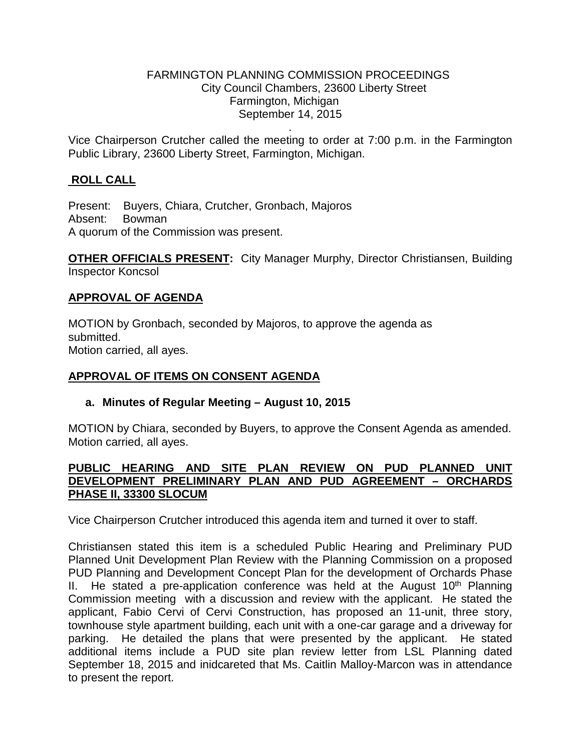### FARMINGTON PLANNING COMMISSION PROCEEDINGS City Council Chambers, 23600 Liberty Street Farmington, Michigan September 14, 2015

. Vice Chairperson Crutcher called the meeting to order at 7:00 p.m. in the Farmington Public Library, 23600 Liberty Street, Farmington, Michigan.

# **ROLL CALL**

Present: Buyers, Chiara, Crutcher, Gronbach, Majoros Absent: Bowman A quorum of the Commission was present.

**OTHER OFFICIALS PRESENT:** City Manager Murphy, Director Christiansen, Building Inspector Koncsol

### **APPROVAL OF AGENDA**

MOTION by Gronbach, seconded by Majoros, to approve the agenda as submitted. Motion carried, all ayes.

# **APPROVAL OF ITEMS ON CONSENT AGENDA**

#### **a. Minutes of Regular Meeting – August 10, 2015**

MOTION by Chiara, seconded by Buyers, to approve the Consent Agenda as amended. Motion carried, all ayes.

### **PUBLIC HEARING AND SITE PLAN REVIEW ON PUD PLANNED UNIT DEVELOPMENT PRELIMINARY PLAN AND PUD AGREEMENT – ORCHARDS PHASE II, 33300 SLOCUM**

Vice Chairperson Crutcher introduced this agenda item and turned it over to staff.

Christiansen stated this item is a scheduled Public Hearing and Preliminary PUD Planned Unit Development Plan Review with the Planning Commission on a proposed PUD Planning and Development Concept Plan for the development of Orchards Phase II. He stated a pre-application conference was held at the August  $10<sup>th</sup>$  Planning Commission meeting with a discussion and review with the applicant. He stated the applicant, Fabio Cervi of Cervi Construction, has proposed an 11-unit, three story, townhouse style apartment building, each unit with a one-car garage and a driveway for parking. He detailed the plans that were presented by the applicant. He stated additional items include a PUD site plan review letter from LSL Planning dated September 18, 2015 and inidcareted that Ms. Caitlin Malloy-Marcon was in attendance to present the report.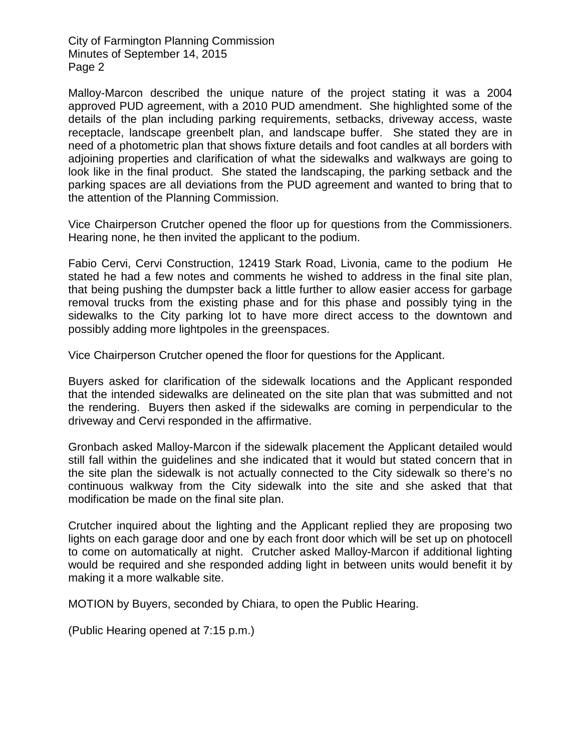Malloy-Marcon described the unique nature of the project stating it was a 2004 approved PUD agreement, with a 2010 PUD amendment. She highlighted some of the details of the plan including parking requirements, setbacks, driveway access, waste receptacle, landscape greenbelt plan, and landscape buffer. She stated they are in need of a photometric plan that shows fixture details and foot candles at all borders with adjoining properties and clarification of what the sidewalks and walkways are going to look like in the final product. She stated the landscaping, the parking setback and the parking spaces are all deviations from the PUD agreement and wanted to bring that to the attention of the Planning Commission.

Vice Chairperson Crutcher opened the floor up for questions from the Commissioners. Hearing none, he then invited the applicant to the podium.

Fabio Cervi, Cervi Construction, 12419 Stark Road, Livonia, came to the podium He stated he had a few notes and comments he wished to address in the final site plan, that being pushing the dumpster back a little further to allow easier access for garbage removal trucks from the existing phase and for this phase and possibly tying in the sidewalks to the City parking lot to have more direct access to the downtown and possibly adding more lightpoles in the greenspaces.

Vice Chairperson Crutcher opened the floor for questions for the Applicant.

Buyers asked for clarification of the sidewalk locations and the Applicant responded that the intended sidewalks are delineated on the site plan that was submitted and not the rendering. Buyers then asked if the sidewalks are coming in perpendicular to the driveway and Cervi responded in the affirmative.

Gronbach asked Malloy-Marcon if the sidewalk placement the Applicant detailed would still fall within the guidelines and she indicated that it would but stated concern that in the site plan the sidewalk is not actually connected to the City sidewalk so there's no continuous walkway from the City sidewalk into the site and she asked that that modification be made on the final site plan.

Crutcher inquired about the lighting and the Applicant replied they are proposing two lights on each garage door and one by each front door which will be set up on photocell to come on automatically at night. Crutcher asked Malloy-Marcon if additional lighting would be required and she responded adding light in between units would benefit it by making it a more walkable site.

MOTION by Buyers, seconded by Chiara, to open the Public Hearing.

(Public Hearing opened at 7:15 p.m.)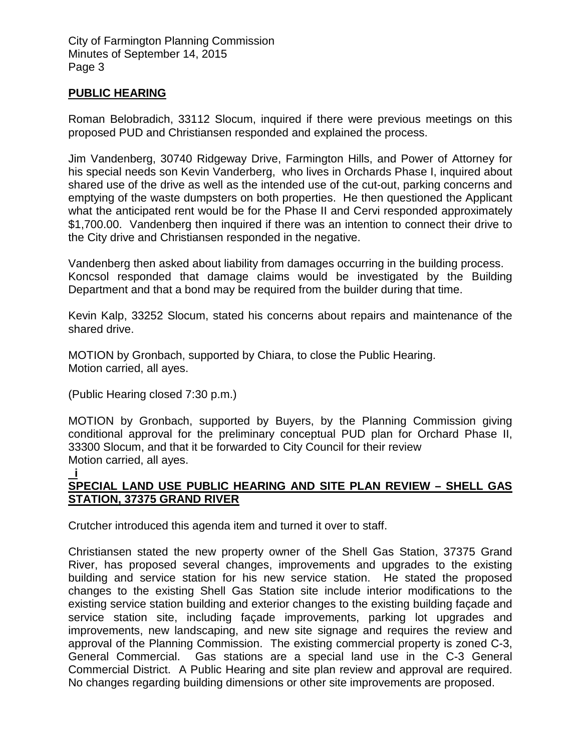# **PUBLIC HEARING**

Roman Belobradich, 33112 Slocum, inquired if there were previous meetings on this proposed PUD and Christiansen responded and explained the process.

Jim Vandenberg, 30740 Ridgeway Drive, Farmington Hills, and Power of Attorney for his special needs son Kevin Vanderberg, who lives in Orchards Phase I, inquired about shared use of the drive as well as the intended use of the cut-out, parking concerns and emptying of the waste dumpsters on both properties. He then questioned the Applicant what the anticipated rent would be for the Phase II and Cervi responded approximately \$1,700.00. Vandenberg then inquired if there was an intention to connect their drive to the City drive and Christiansen responded in the negative.

Vandenberg then asked about liability from damages occurring in the building process. Koncsol responded that damage claims would be investigated by the Building Department and that a bond may be required from the builder during that time.

Kevin Kalp, 33252 Slocum, stated his concerns about repairs and maintenance of the shared drive.

MOTION by Gronbach, supported by Chiara, to close the Public Hearing. Motion carried, all ayes.

(Public Hearing closed 7:30 p.m.)

MOTION by Gronbach, supported by Buyers, by the Planning Commission giving conditional approval for the preliminary conceptual PUD plan for Orchard Phase II, 33300 Slocum, and that it be forwarded to City Council for their review Motion carried, all ayes.

#### **i SPECIAL LAND USE PUBLIC HEARING AND SITE PLAN REVIEW – SHELL GAS STATION, 37375 GRAND RIVER**

Crutcher introduced this agenda item and turned it over to staff.

Christiansen stated the new property owner of the Shell Gas Station, 37375 Grand River, has proposed several changes, improvements and upgrades to the existing building and service station for his new service station. He stated the proposed changes to the existing Shell Gas Station site include interior modifications to the existing service station building and exterior changes to the existing building façade and service station site, including façade improvements, parking lot upgrades and improvements, new landscaping, and new site signage and requires the review and approval of the Planning Commission. The existing commercial property is zoned C-3, General Commercial. Gas stations are a special land use in the C-3 General Commercial District. A Public Hearing and site plan review and approval are required. No changes regarding building dimensions or other site improvements are proposed.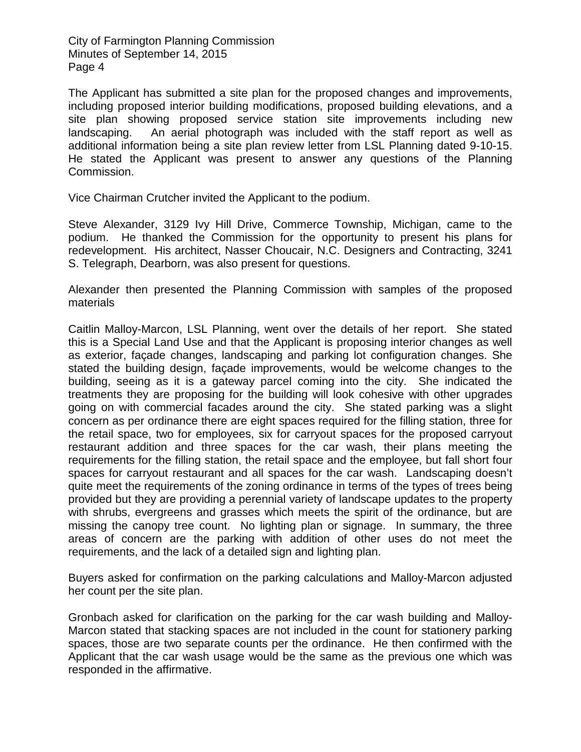The Applicant has submitted a site plan for the proposed changes and improvements, including proposed interior building modifications, proposed building elevations, and a site plan showing proposed service station site improvements including new landscaping. An aerial photograph was included with the staff report as well as additional information being a site plan review letter from LSL Planning dated 9-10-15. He stated the Applicant was present to answer any questions of the Planning Commission.

Vice Chairman Crutcher invited the Applicant to the podium.

Steve Alexander, 3129 Ivy Hill Drive, Commerce Township, Michigan, came to the podium. He thanked the Commission for the opportunity to present his plans for redevelopment. His architect, Nasser Choucair, N.C. Designers and Contracting, 3241 S. Telegraph, Dearborn, was also present for questions.

Alexander then presented the Planning Commission with samples of the proposed materials

Caitlin Malloy-Marcon, LSL Planning, went over the details of her report. She stated this is a Special Land Use and that the Applicant is proposing interior changes as well as exterior, façade changes, landscaping and parking lot configuration changes. She stated the building design, façade improvements, would be welcome changes to the building, seeing as it is a gateway parcel coming into the city. She indicated the treatments they are proposing for the building will look cohesive with other upgrades going on with commercial facades around the city. She stated parking was a slight concern as per ordinance there are eight spaces required for the filling station, three for the retail space, two for employees, six for carryout spaces for the proposed carryout restaurant addition and three spaces for the car wash, their plans meeting the requirements for the filling station, the retail space and the employee, but fall short four spaces for carryout restaurant and all spaces for the car wash. Landscaping doesn't quite meet the requirements of the zoning ordinance in terms of the types of trees being provided but they are providing a perennial variety of landscape updates to the property with shrubs, evergreens and grasses which meets the spirit of the ordinance, but are missing the canopy tree count. No lighting plan or signage. In summary, the three areas of concern are the parking with addition of other uses do not meet the requirements, and the lack of a detailed sign and lighting plan.

Buyers asked for confirmation on the parking calculations and Malloy-Marcon adjusted her count per the site plan.

Gronbach asked for clarification on the parking for the car wash building and Malloy-Marcon stated that stacking spaces are not included in the count for stationery parking spaces, those are two separate counts per the ordinance. He then confirmed with the Applicant that the car wash usage would be the same as the previous one which was responded in the affirmative.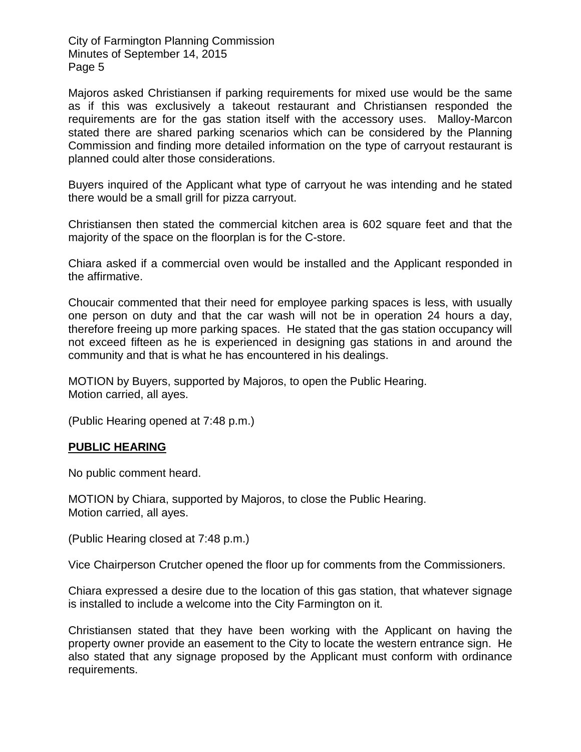Majoros asked Christiansen if parking requirements for mixed use would be the same as if this was exclusively a takeout restaurant and Christiansen responded the requirements are for the gas station itself with the accessory uses. Malloy-Marcon stated there are shared parking scenarios which can be considered by the Planning Commission and finding more detailed information on the type of carryout restaurant is planned could alter those considerations.

Buyers inquired of the Applicant what type of carryout he was intending and he stated there would be a small grill for pizza carryout.

Christiansen then stated the commercial kitchen area is 602 square feet and that the majority of the space on the floorplan is for the C-store.

Chiara asked if a commercial oven would be installed and the Applicant responded in the affirmative.

Choucair commented that their need for employee parking spaces is less, with usually one person on duty and that the car wash will not be in operation 24 hours a day, therefore freeing up more parking spaces. He stated that the gas station occupancy will not exceed fifteen as he is experienced in designing gas stations in and around the community and that is what he has encountered in his dealings.

MOTION by Buyers, supported by Majoros, to open the Public Hearing. Motion carried, all ayes.

(Public Hearing opened at 7:48 p.m.)

#### **PUBLIC HEARING**

No public comment heard.

MOTION by Chiara, supported by Majoros, to close the Public Hearing. Motion carried, all ayes.

(Public Hearing closed at 7:48 p.m.)

Vice Chairperson Crutcher opened the floor up for comments from the Commissioners.

Chiara expressed a desire due to the location of this gas station, that whatever signage is installed to include a welcome into the City Farmington on it.

Christiansen stated that they have been working with the Applicant on having the property owner provide an easement to the City to locate the western entrance sign. He also stated that any signage proposed by the Applicant must conform with ordinance requirements.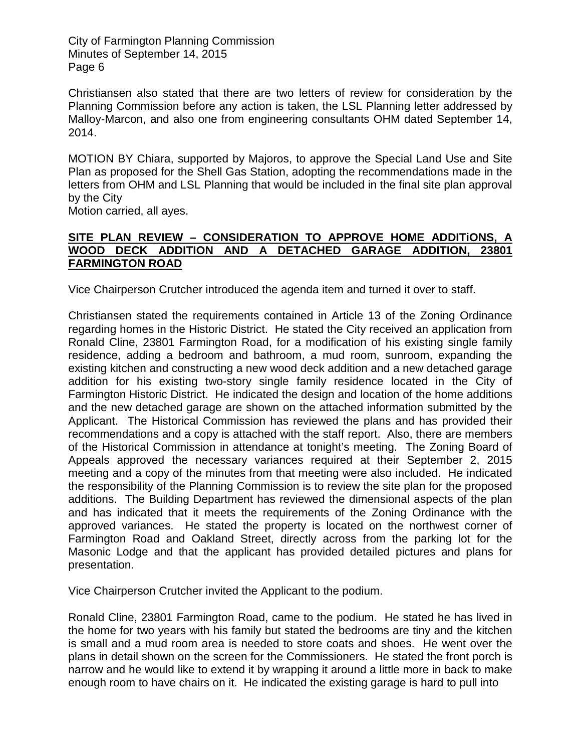Christiansen also stated that there are two letters of review for consideration by the Planning Commission before any action is taken, the LSL Planning letter addressed by Malloy-Marcon, and also one from engineering consultants OHM dated September 14, 2014.

MOTION BY Chiara, supported by Majoros, to approve the Special Land Use and Site Plan as proposed for the Shell Gas Station, adopting the recommendations made in the letters from OHM and LSL Planning that would be included in the final site plan approval by the City

Motion carried, all ayes.

### **SITE PLAN REVIEW – CONSIDERATION TO APPROVE HOME ADDITiONS, A WOOD DECK ADDITION AND A DETACHED GARAGE ADDITION, 23801 FARMINGTON ROAD**

Vice Chairperson Crutcher introduced the agenda item and turned it over to staff.

Christiansen stated the requirements contained in Article 13 of the Zoning Ordinance regarding homes in the Historic District. He stated the City received an application from Ronald Cline, 23801 Farmington Road, for a modification of his existing single family residence, adding a bedroom and bathroom, a mud room, sunroom, expanding the existing kitchen and constructing a new wood deck addition and a new detached garage addition for his existing two-story single family residence located in the City of Farmington Historic District. He indicated the design and location of the home additions and the new detached garage are shown on the attached information submitted by the Applicant. The Historical Commission has reviewed the plans and has provided their recommendations and a copy is attached with the staff report. Also, there are members of the Historical Commission in attendance at tonight's meeting. The Zoning Board of Appeals approved the necessary variances required at their September 2, 2015 meeting and a copy of the minutes from that meeting were also included. He indicated the responsibility of the Planning Commission is to review the site plan for the proposed additions. The Building Department has reviewed the dimensional aspects of the plan and has indicated that it meets the requirements of the Zoning Ordinance with the approved variances. He stated the property is located on the northwest corner of Farmington Road and Oakland Street, directly across from the parking lot for the Masonic Lodge and that the applicant has provided detailed pictures and plans for presentation.

Vice Chairperson Crutcher invited the Applicant to the podium.

Ronald Cline, 23801 Farmington Road, came to the podium. He stated he has lived in the home for two years with his family but stated the bedrooms are tiny and the kitchen is small and a mud room area is needed to store coats and shoes. He went over the plans in detail shown on the screen for the Commissioners. He stated the front porch is narrow and he would like to extend it by wrapping it around a little more in back to make enough room to have chairs on it. He indicated the existing garage is hard to pull into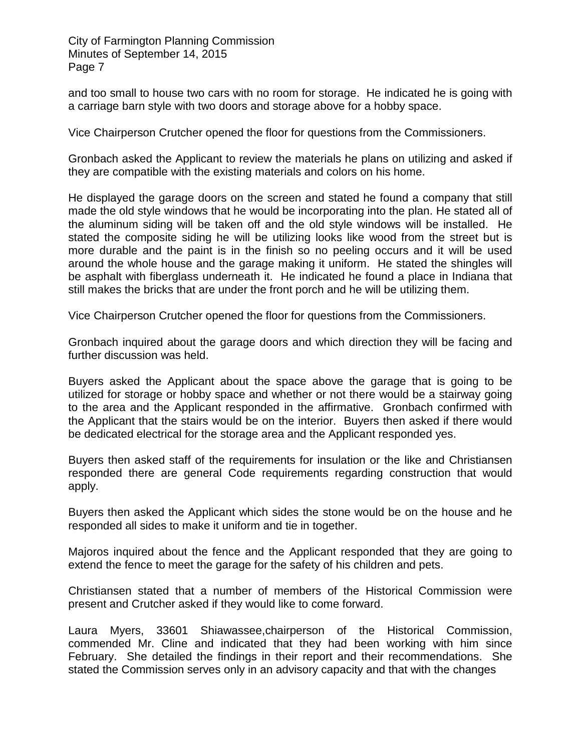and too small to house two cars with no room for storage. He indicated he is going with a carriage barn style with two doors and storage above for a hobby space.

Vice Chairperson Crutcher opened the floor for questions from the Commissioners.

Gronbach asked the Applicant to review the materials he plans on utilizing and asked if they are compatible with the existing materials and colors on his home.

He displayed the garage doors on the screen and stated he found a company that still made the old style windows that he would be incorporating into the plan. He stated all of the aluminum siding will be taken off and the old style windows will be installed. He stated the composite siding he will be utilizing looks like wood from the street but is more durable and the paint is in the finish so no peeling occurs and it will be used around the whole house and the garage making it uniform. He stated the shingles will be asphalt with fiberglass underneath it. He indicated he found a place in Indiana that still makes the bricks that are under the front porch and he will be utilizing them.

Vice Chairperson Crutcher opened the floor for questions from the Commissioners.

Gronbach inquired about the garage doors and which direction they will be facing and further discussion was held.

Buyers asked the Applicant about the space above the garage that is going to be utilized for storage or hobby space and whether or not there would be a stairway going to the area and the Applicant responded in the affirmative. Gronbach confirmed with the Applicant that the stairs would be on the interior. Buyers then asked if there would be dedicated electrical for the storage area and the Applicant responded yes.

Buyers then asked staff of the requirements for insulation or the like and Christiansen responded there are general Code requirements regarding construction that would apply.

Buyers then asked the Applicant which sides the stone would be on the house and he responded all sides to make it uniform and tie in together.

Majoros inquired about the fence and the Applicant responded that they are going to extend the fence to meet the garage for the safety of his children and pets.

Christiansen stated that a number of members of the Historical Commission were present and Crutcher asked if they would like to come forward.

Laura Myers, 33601 Shiawassee,chairperson of the Historical Commission, commended Mr. Cline and indicated that they had been working with him since February. She detailed the findings in their report and their recommendations. She stated the Commission serves only in an advisory capacity and that with the changes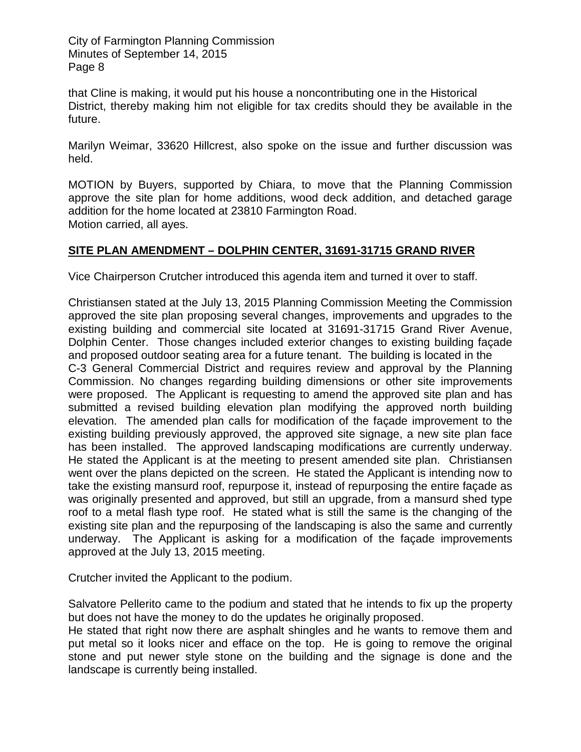that Cline is making, it would put his house a noncontributing one in the Historical District, thereby making him not eligible for tax credits should they be available in the future.

Marilyn Weimar, 33620 Hillcrest, also spoke on the issue and further discussion was held.

MOTION by Buyers, supported by Chiara, to move that the Planning Commission approve the site plan for home additions, wood deck addition, and detached garage addition for the home located at 23810 Farmington Road. Motion carried, all ayes.

# **SITE PLAN AMENDMENT – DOLPHIN CENTER, 31691-31715 GRAND RIVER**

Vice Chairperson Crutcher introduced this agenda item and turned it over to staff.

Christiansen stated at the July 13, 2015 Planning Commission Meeting the Commission approved the site plan proposing several changes, improvements and upgrades to the existing building and commercial site located at 31691-31715 Grand River Avenue, Dolphin Center. Those changes included exterior changes to existing building façade and proposed outdoor seating area for a future tenant. The building is located in the C-3 General Commercial District and requires review and approval by the Planning Commission. No changes regarding building dimensions or other site improvements were proposed. The Applicant is requesting to amend the approved site plan and has submitted a revised building elevation plan modifying the approved north building elevation. The amended plan calls for modification of the façade improvement to the existing building previously approved, the approved site signage, a new site plan face has been installed. The approved landscaping modifications are currently underway. He stated the Applicant is at the meeting to present amended site plan. Christiansen went over the plans depicted on the screen. He stated the Applicant is intending now to take the existing mansurd roof, repurpose it, instead of repurposing the entire façade as was originally presented and approved, but still an upgrade, from a mansurd shed type roof to a metal flash type roof. He stated what is still the same is the changing of the existing site plan and the repurposing of the landscaping is also the same and currently underway. The Applicant is asking for a modification of the façade improvements approved at the July 13, 2015 meeting.

Crutcher invited the Applicant to the podium.

Salvatore Pellerito came to the podium and stated that he intends to fix up the property but does not have the money to do the updates he originally proposed.

He stated that right now there are asphalt shingles and he wants to remove them and put metal so it looks nicer and efface on the top. He is going to remove the original stone and put newer style stone on the building and the signage is done and the landscape is currently being installed.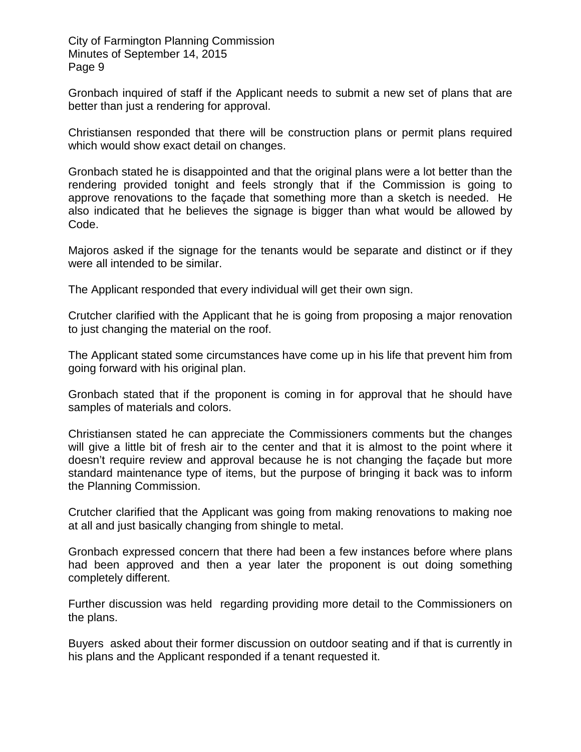Gronbach inquired of staff if the Applicant needs to submit a new set of plans that are better than just a rendering for approval.

Christiansen responded that there will be construction plans or permit plans required which would show exact detail on changes.

Gronbach stated he is disappointed and that the original plans were a lot better than the rendering provided tonight and feels strongly that if the Commission is going to approve renovations to the façade that something more than a sketch is needed. He also indicated that he believes the signage is bigger than what would be allowed by Code.

Majoros asked if the signage for the tenants would be separate and distinct or if they were all intended to be similar.

The Applicant responded that every individual will get their own sign.

Crutcher clarified with the Applicant that he is going from proposing a major renovation to just changing the material on the roof.

The Applicant stated some circumstances have come up in his life that prevent him from going forward with his original plan.

Gronbach stated that if the proponent is coming in for approval that he should have samples of materials and colors.

Christiansen stated he can appreciate the Commissioners comments but the changes will give a little bit of fresh air to the center and that it is almost to the point where it doesn't require review and approval because he is not changing the façade but more standard maintenance type of items, but the purpose of bringing it back was to inform the Planning Commission.

Crutcher clarified that the Applicant was going from making renovations to making noe at all and just basically changing from shingle to metal.

Gronbach expressed concern that there had been a few instances before where plans had been approved and then a year later the proponent is out doing something completely different.

Further discussion was held regarding providing more detail to the Commissioners on the plans.

Buyers asked about their former discussion on outdoor seating and if that is currently in his plans and the Applicant responded if a tenant requested it.